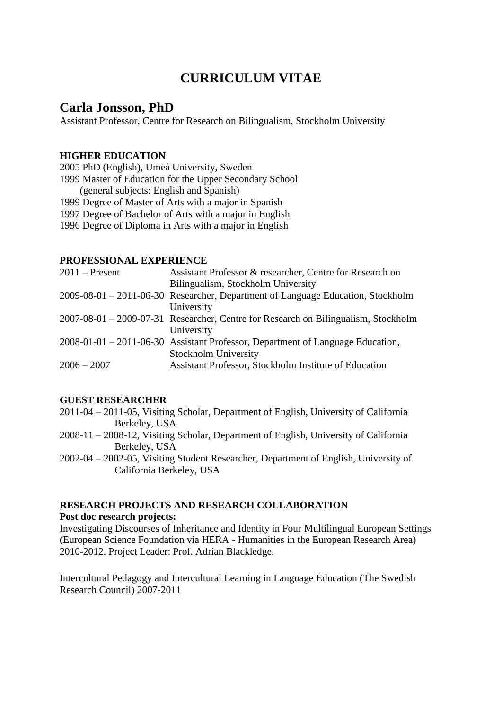# **CURRICULUM VITAE**

# **Carla Jonsson, PhD**

Assistant Professor, Centre for Research on Bilingualism, Stockholm University

## **HIGHER EDUCATION**

2005 PhD (English), Umeå University, Sweden 1999 Master of Education for the Upper Secondary School (general subjects: English and Spanish) 1999 Degree of Master of Arts with a major in Spanish 1997 Degree of Bachelor of Arts with a major in English 1996 Degree of Diploma in Arts with a major in English

## **PROFESSIONAL EXPERIENCE**

| $2011$ – Present | Assistant Professor & researcher, Centre for Research on                           |
|------------------|------------------------------------------------------------------------------------|
|                  | Bilingualism, Stockholm University                                                 |
|                  | 2009-08-01 – 2011-06-30 Researcher, Department of Language Education, Stockholm    |
|                  | University                                                                         |
|                  | 2007-08-01 – 2009-07-31 Researcher, Centre for Research on Bilingualism, Stockholm |
|                  | University                                                                         |
|                  | 2008-01-01 - 2011-06-30 Assistant Professor, Department of Language Education,     |
|                  | <b>Stockholm University</b>                                                        |
| $2006 - 2007$    | Assistant Professor, Stockholm Institute of Education                              |
|                  |                                                                                    |

#### **GUEST RESEARCHER**

- 2011-04 2011-05, Visiting Scholar, Department of English, University of California Berkeley, USA
- 2008-11 2008-12, Visiting Scholar, Department of English, University of California Berkeley, USA
- 2002-04 2002-05, Visiting Student Researcher, Department of English, University of California Berkeley, USA

#### **RESEARCH PROJECTS AND RESEARCH COLLABORATION**

#### **Post doc research projects:**

Investigating Discourses of Inheritance and Identity in Four Multilingual European Settings (European Science Foundation via HERA - Humanities in the European Research Area) 2010-2012. Project Leader: Prof. Adrian Blackledge.

Intercultural Pedagogy and Intercultural Learning in Language Education (The Swedish Research Council) 2007-2011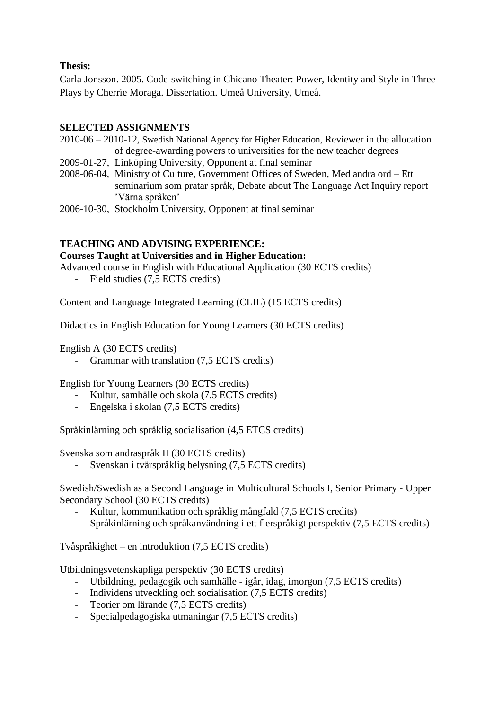## **Thesis:**

Carla Jonsson. 2005. Code-switching in Chicano Theater: Power, Identity and Style in Three Plays by Cherríe Moraga. Dissertation. Umeå University, Umeå.

## **SELECTED ASSIGNMENTS**

- 2010-06 2010-12, Swedish National Agency for Higher Education, Reviewer in the allocation of degree-awarding powers to universities for the new teacher degrees
- 2009-01-27, Linköping University, Opponent at final seminar
- 2008-06-04, Ministry of Culture, Government Offices of Sweden, Med andra ord Ett seminarium som pratar språk, Debate about The Language Act Inquiry report 'Värna språken'
- 2006-10-30, Stockholm University, Opponent at final seminar

## **TEACHING AND ADVISING EXPERIENCE:**

## **Courses Taught at Universities and in Higher Education:**

Advanced course in English with Educational Application (30 ECTS credits)

- Field studies (7,5 ECTS credits)

Content and Language Integrated Learning (CLIL) (15 ECTS credits)

Didactics in English Education for Young Learners (30 ECTS credits)

English A (30 ECTS credits)

- Grammar with translation (7,5 ECTS credits)

English for Young Learners (30 ECTS credits)

- Kultur, samhälle och skola (7,5 ECTS credits)
- Engelska i skolan (7,5 ECTS credits)

Språkinlärning och språklig socialisation (4,5 ETCS credits)

Svenska som andraspråk II (30 ECTS credits)

- Svenskan i tvärspråklig belysning (7,5 ECTS credits)

Swedish/Swedish as a Second Language in Multicultural Schools I, Senior Primary - Upper Secondary School (30 ECTS credits)

- Kultur, kommunikation och språklig mångfald (7,5 ECTS credits)
- Språkinlärning och språkanvändning i ett flerspråkigt perspektiv (7,5 ECTS credits)

Tvåspråkighet – en introduktion (7,5 ECTS credits)

Utbildningsvetenskapliga perspektiv (30 ECTS credits)

- Utbildning, pedagogik och samhälle igår, idag, imorgon (7,5 ECTS credits)
- Individens utveckling och socialisation (7,5 ECTS credits)
- Teorier om lärande (7,5 ECTS credits)
- Specialpedagogiska utmaningar (7,5 ECTS credits)